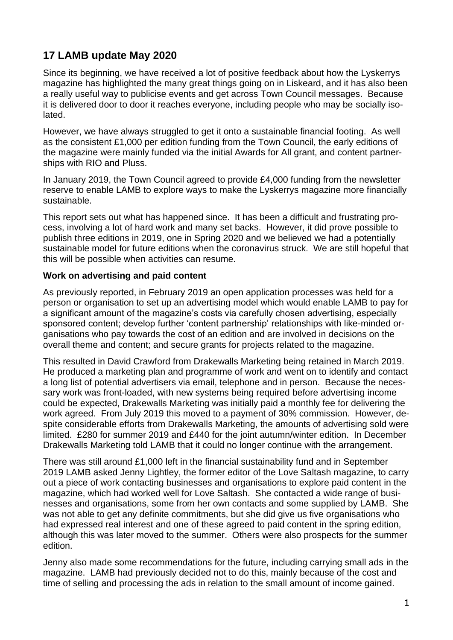# **17 LAMB update May 2020**

Since its beginning, we have received a lot of positive feedback about how the Lyskerrys magazine has highlighted the many great things going on in Liskeard, and it has also been a really useful way to publicise events and get across Town Council messages. Because it is delivered door to door it reaches everyone, including people who may be socially isolated.

However, we have always struggled to get it onto a sustainable financial footing. As well as the consistent £1,000 per edition funding from the Town Council, the early editions of the magazine were mainly funded via the initial Awards for All grant, and content partnerships with RIO and Pluss.

In January 2019, the Town Council agreed to provide £4,000 funding from the newsletter reserve to enable LAMB to explore ways to make the Lyskerrys magazine more financially sustainable.

This report sets out what has happened since. It has been a difficult and frustrating process, involving a lot of hard work and many set backs. However, it did prove possible to publish three editions in 2019, one in Spring 2020 and we believed we had a potentially sustainable model for future editions when the coronavirus struck. We are still hopeful that this will be possible when activities can resume.

#### **Work on advertising and paid content**

As previously reported, in February 2019 an open application processes was held for a person or organisation to set up an advertising model which would enable LAMB to pay for a significant amount of the magazine's costs via carefully chosen advertising, especially sponsored content; develop further 'content partnership' relationships with like-minded organisations who pay towards the cost of an edition and are involved in decisions on the overall theme and content; and secure grants for projects related to the magazine.

This resulted in David Crawford from Drakewalls Marketing being retained in March 2019. He produced a marketing plan and programme of work and went on to identify and contact a long list of potential advertisers via email, telephone and in person. Because the necessary work was front-loaded, with new systems being required before advertising income could be expected, Drakewalls Marketing was initially paid a monthly fee for delivering the work agreed. From July 2019 this moved to a payment of 30% commission. However, despite considerable efforts from Drakewalls Marketing, the amounts of advertising sold were limited. £280 for summer 2019 and £440 for the joint autumn/winter edition. In December Drakewalls Marketing told LAMB that it could no longer continue with the arrangement.

There was still around £1,000 left in the financial sustainability fund and in September 2019 LAMB asked Jenny Lightley, the former editor of the Love Saltash magazine, to carry out a piece of work contacting businesses and organisations to explore paid content in the magazine, which had worked well for Love Saltash. She contacted a wide range of businesses and organisations, some from her own contacts and some supplied by LAMB. She was not able to get any definite commitments, but she did give us five organisations who had expressed real interest and one of these agreed to paid content in the spring edition, although this was later moved to the summer. Others were also prospects for the summer edition.

Jenny also made some recommendations for the future, including carrying small ads in the magazine. LAMB had previously decided not to do this, mainly because of the cost and time of selling and processing the ads in relation to the small amount of income gained.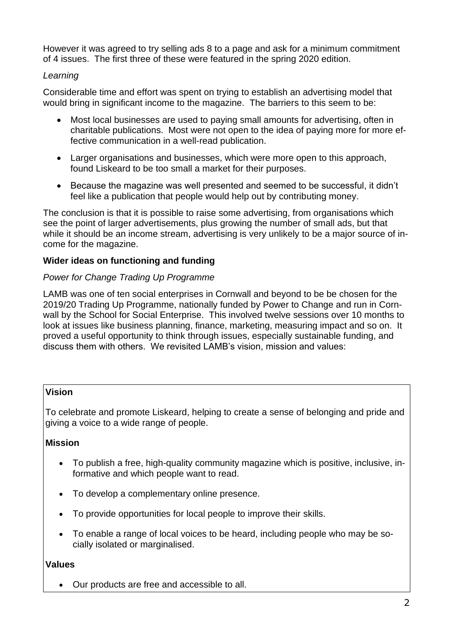However it was agreed to try selling ads 8 to a page and ask for a minimum commitment of 4 issues. The first three of these were featured in the spring 2020 edition.

## *Learning*

Considerable time and effort was spent on trying to establish an advertising model that would bring in significant income to the magazine. The barriers to this seem to be:

- Most local businesses are used to paying small amounts for advertising, often in charitable publications. Most were not open to the idea of paying more for more effective communication in a well-read publication.
- Larger organisations and businesses, which were more open to this approach, found Liskeard to be too small a market for their purposes.
- Because the magazine was well presented and seemed to be successful, it didn't feel like a publication that people would help out by contributing money.

The conclusion is that it is possible to raise some advertising, from organisations which see the point of larger advertisements, plus growing the number of small ads, but that while it should be an income stream, advertising is very unlikely to be a major source of income for the magazine.

## **Wider ideas on functioning and funding**

## *Power for Change Trading Up Programme*

LAMB was one of ten social enterprises in Cornwall and beyond to be be chosen for the 2019/20 Trading Up Programme, nationally funded by Power to Change and run in Cornwall by the School for Social Enterprise. This involved twelve sessions over 10 months to look at issues like business planning, finance, marketing, measuring impact and so on. It proved a useful opportunity to think through issues, especially sustainable funding, and discuss them with others. We revisited LAMB's vision, mission and values:

# **Vision**

To celebrate and promote Liskeard, helping to create a sense of belonging and pride and giving a voice to a wide range of people.

# **Mission**

- To publish a free, high-quality community magazine which is positive, inclusive, informative and which people want to read.
- To develop a complementary online presence.
- To provide opportunities for local people to improve their skills.
- To enable a range of local voices to be heard, including people who may be socially isolated or marginalised.

# **Values**

• Our products are free and accessible to all.